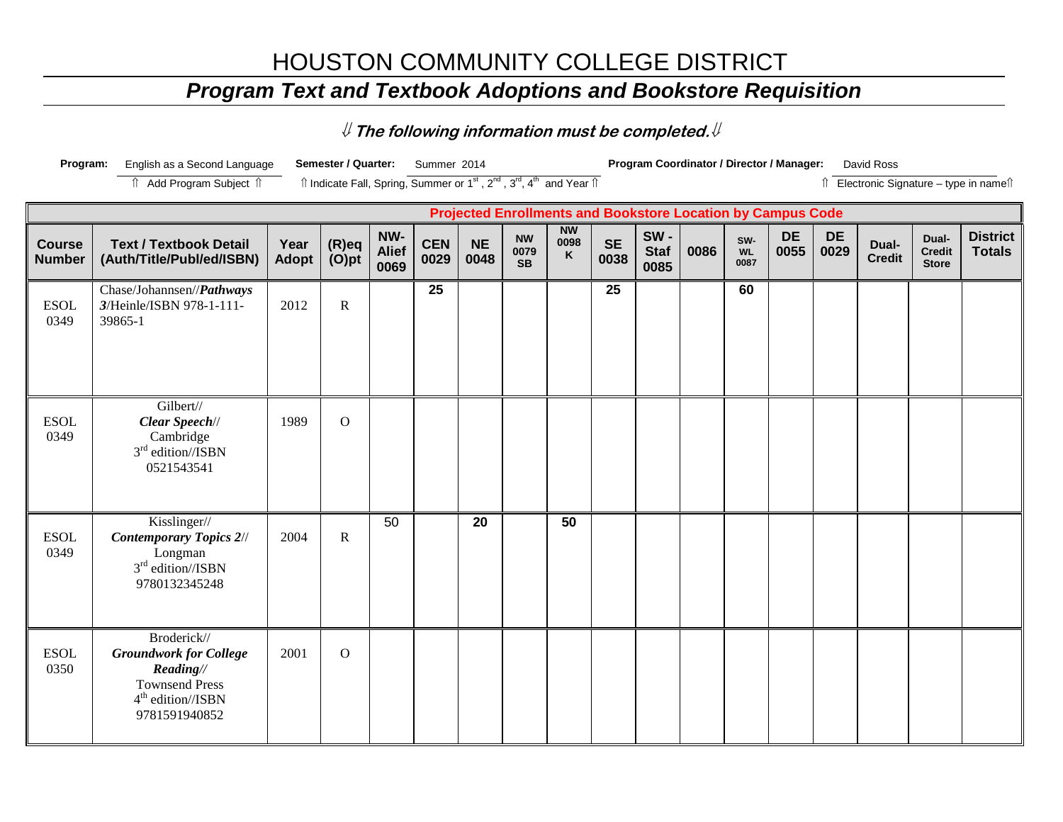## HOUSTON COMMUNITY COLLEGE DISTRICT

## *Program Text and Textbook Adoptions and Bookstore Requisition*

⇓ **The following information must be completed.**⇓

| Program:                       | English as a Second Language                                                                                                         |               | Semester / Quarter:                                                                                                   |                             | Summer 2014        |                   |                                                                    |                        |                   |                            | Program Coordinator / Director / Manager: |                          |                   |                   | David Ross             |                                        |                                          |
|--------------------------------|--------------------------------------------------------------------------------------------------------------------------------------|---------------|-----------------------------------------------------------------------------------------------------------------------|-----------------------------|--------------------|-------------------|--------------------------------------------------------------------|------------------------|-------------------|----------------------------|-------------------------------------------|--------------------------|-------------------|-------------------|------------------------|----------------------------------------|------------------------------------------|
|                                | Add Program Subject 1                                                                                                                |               | Îl Indicate Fall, Spring, Summer or 1 <sup>st</sup> , 2 <sup>nd</sup> , 3 <sup>rd</sup> , 4 <sup>th</sup> and Year Îl |                             |                    |                   |                                                                    |                        |                   |                            |                                           |                          |                   |                   |                        |                                        | Îl Electronic Signature - type in nameîl |
|                                |                                                                                                                                      |               |                                                                                                                       |                             |                    |                   | <b>Projected Enrollments and Bookstore Location by Campus Code</b> |                        |                   |                            |                                           |                          |                   |                   |                        |                                        |                                          |
| <b>Course</b><br><b>Number</b> | <b>Text / Textbook Detail</b><br>(Auth/Title/Publ/ed/ISBN)                                                                           | Year<br>Adopt | $(R)$ eq<br>$(O)$ pt                                                                                                  | NW-<br><b>Alief</b><br>0069 | <b>CEN</b><br>0029 | <b>NE</b><br>0048 | <b>NW</b><br>0079<br><b>SB</b>                                     | <b>NW</b><br>0098<br>K | <b>SE</b><br>0038 | SW-<br><b>Staf</b><br>0085 | 0086                                      | SW-<br><b>WL</b><br>0087 | <b>DE</b><br>0055 | <b>DE</b><br>0029 | Dual-<br><b>Credit</b> | Dual-<br><b>Credit</b><br><b>Store</b> | <b>District</b><br><b>Totals</b>         |
| <b>ESOL</b><br>0349            | Chase/Johannsen//Pathways<br>3/Heinle/ISBN 978-1-111-<br>39865-1                                                                     | 2012          | $\mathbf R$                                                                                                           |                             | 25                 |                   |                                                                    |                        | 25                |                            |                                           | 60                       |                   |                   |                        |                                        |                                          |
| <b>ESOL</b><br>0349            | Gilbert//<br>Clear Speech//<br>Cambridge<br>3 <sup>rd</sup> edition//ISBN<br>0521543541                                              | 1989          | $\mathbf{O}$                                                                                                          |                             |                    |                   |                                                                    |                        |                   |                            |                                           |                          |                   |                   |                        |                                        |                                          |
| <b>ESOL</b><br>0349            | Kisslinger//<br><b>Contemporary Topics 2//</b><br>Longman<br>$3rd$ edition//ISBN<br>9780132345248                                    | 2004          | $\mathbf R$                                                                                                           | 50                          |                    | 20                |                                                                    | 50                     |                   |                            |                                           |                          |                   |                   |                        |                                        |                                          |
| <b>ESOL</b><br>0350            | Broderick//<br><b>Groundwork for College</b><br>Reading//<br><b>Townsend Press</b><br>4 <sup>th</sup> edition//ISBN<br>9781591940852 | 2001          | $\mathbf{O}$                                                                                                          |                             |                    |                   |                                                                    |                        |                   |                            |                                           |                          |                   |                   |                        |                                        |                                          |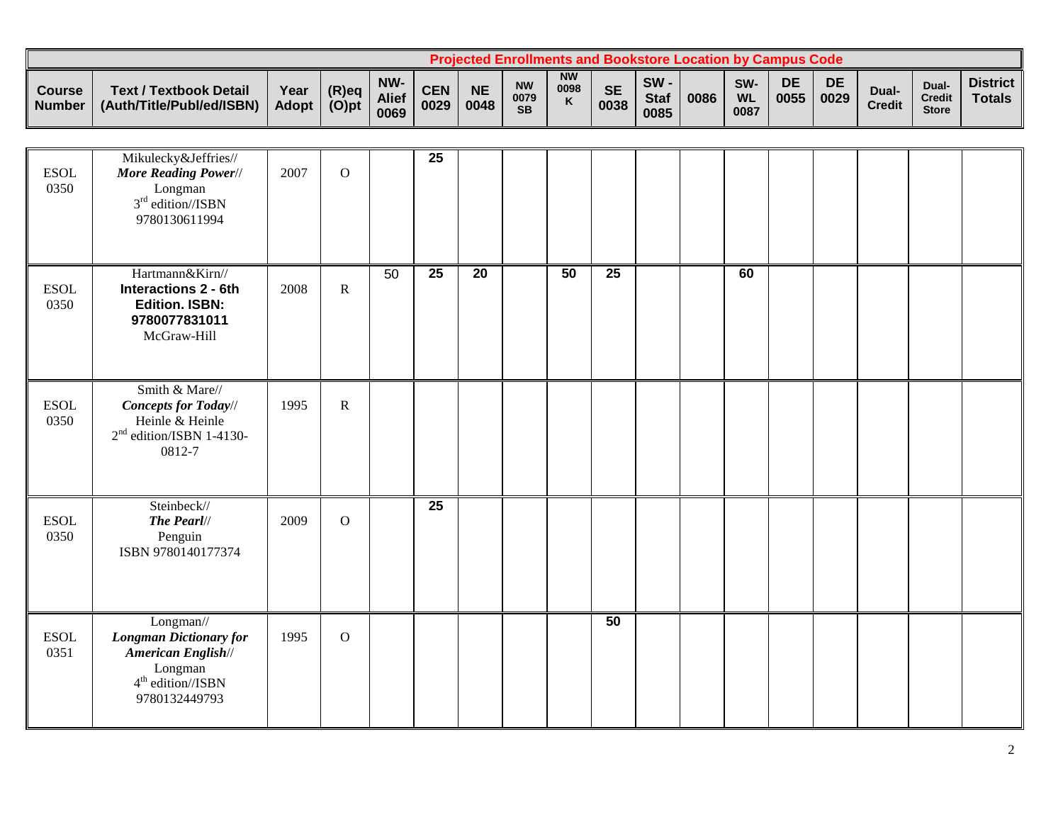|                                |                                                            |               |                      |                             |             |                   |                                |                        |                   |                               | <b>Projected Enrollments and Bookstore Location by Campus Code</b> |                          |            |                   |                        |                                        |                                  |
|--------------------------------|------------------------------------------------------------|---------------|----------------------|-----------------------------|-------------|-------------------|--------------------------------|------------------------|-------------------|-------------------------------|--------------------------------------------------------------------|--------------------------|------------|-------------------|------------------------|----------------------------------------|----------------------------------|
| <b>Course</b><br><b>Number</b> | <b>Text / Textbook Detail</b><br>(Auth/Title/Publ/ed/ISBN) | Year<br>Adopt | $(R)$ eq<br>$(O)$ pt | NW-<br><b>Alief</b><br>0069 | CEN<br>0029 | <b>NE</b><br>0048 | <b>NW</b><br>0079<br><b>SB</b> | <b>NW</b><br>0098<br>K | <b>SE</b><br>0038 | $SW -$<br><b>Staf</b><br>0085 | 0086                                                               | SW-<br><b>WL</b><br>0087 | DE<br>0055 | <b>DE</b><br>0029 | Dual-<br><b>Credit</b> | Dual-<br><b>Credit</b><br><b>Store</b> | <b>District</b><br><b>Totals</b> |

| <b>ESOL</b><br>0350 | Mikulecky&Jeffries//<br>More Reading Power//<br>Longman<br>$3rd$ edition//ISBN<br>9780130611994                     | 2007 | $\mathbf{O}$ |    | $\overline{25}$ |                 |    |                 |  |    |  |  |  |
|---------------------|---------------------------------------------------------------------------------------------------------------------|------|--------------|----|-----------------|-----------------|----|-----------------|--|----|--|--|--|
| <b>ESOL</b><br>0350 | Hartmann&Kirn//<br><b>Interactions 2 - 6th</b><br><b>Edition. ISBN:</b><br>9780077831011<br>McGraw-Hill             | 2008 | ${\bf R}$    | 50 | $\overline{25}$ | $\overline{20}$ | 50 | $\overline{25}$ |  | 60 |  |  |  |
| <b>ESOL</b><br>0350 | Smith & Mare//<br><b>Concepts for Today//</b><br>Heinle & Heinle<br>$2nd$ edition/ISBN 1-4130-<br>0812-7            | 1995 | $\mathbf R$  |    |                 |                 |    |                 |  |    |  |  |  |
| <b>ESOL</b><br>0350 | Steinbeck//<br>The Pearl//<br>Penguin<br>ISBN 9780140177374                                                         | 2009 | $\mathbf{O}$ |    | $\overline{25}$ |                 |    |                 |  |    |  |  |  |
| <b>ESOL</b><br>0351 | Longman//<br><b>Longman Dictionary for</b><br>American English//<br>Longman<br>$4th$ edition//ISBN<br>9780132449793 | 1995 | $\mathbf{O}$ |    |                 |                 |    | 50              |  |    |  |  |  |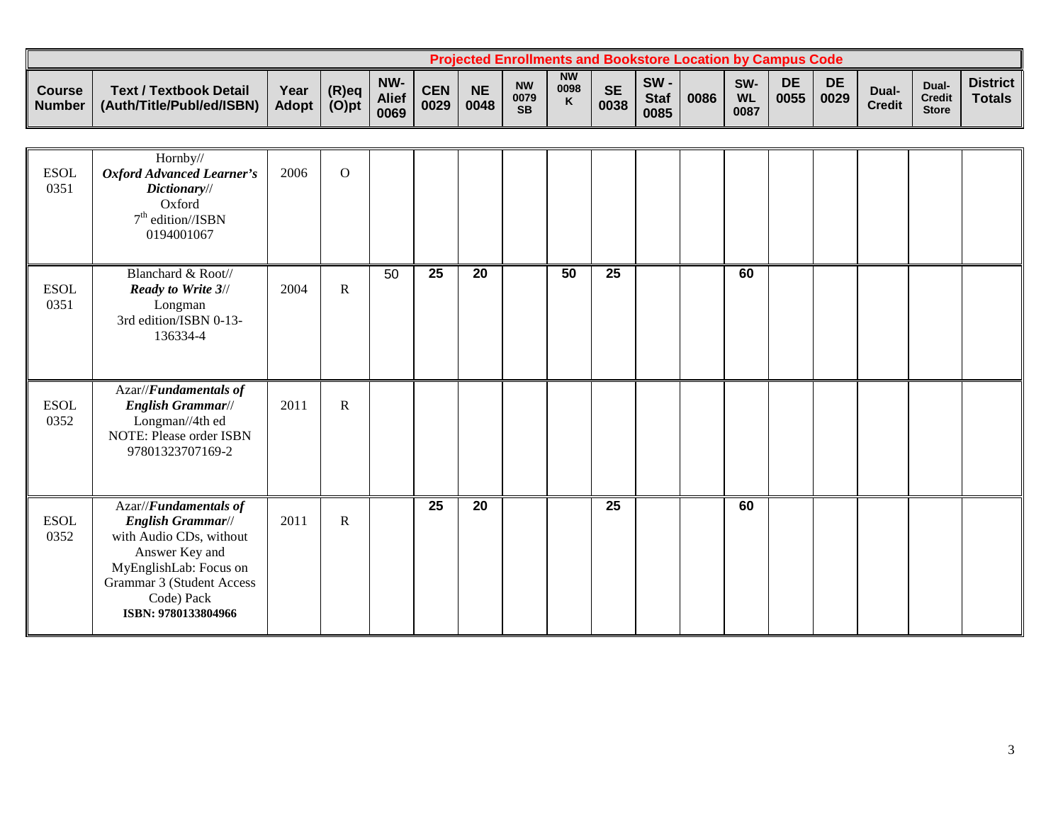|                                |                                                            |               |                      |                             |                    |                   | Proiected Enrollments and Bookstore Location by Campus Code |                        |                   |                            |      |                                      |            |                   |                        |                                       |                           |
|--------------------------------|------------------------------------------------------------|---------------|----------------------|-----------------------------|--------------------|-------------------|-------------------------------------------------------------|------------------------|-------------------|----------------------------|------|--------------------------------------|------------|-------------------|------------------------|---------------------------------------|---------------------------|
| <b>Course</b><br><b>Number</b> | <b>Text / Textbook Detail</b><br>(Auth/Title/Publ/ed/ISBN) | Year<br>Adopt | $(R)$ eq<br>$(O)$ pt | NW-<br><b>Alief</b><br>0069 | <b>CEN</b><br>0029 | <b>NE</b><br>0048 | <b>NW</b><br>0079<br><b>SB</b>                              | <b>NW</b><br>0098<br>K | <b>SE</b><br>0038 | SW-<br><b>Staf</b><br>0085 | 0086 | SW <sub>·</sub><br><b>WL</b><br>0087 | DE<br>0055 | <b>DE</b><br>0029 | Dual-<br><b>Credit</b> | Dual<br><b>Credit</b><br><b>Store</b> | <b>District</b><br>Totals |

| <b>ESOL</b><br>0351           | Hornby//<br><b>Oxford Advanced Learner's</b><br>Dictionary//<br>Oxford<br>$7th$ edition//ISBN<br>0194001067                                                                         | 2006 | $\overline{O}$ |    |                 |    |                 |                 |  |    |  |  |  |
|-------------------------------|-------------------------------------------------------------------------------------------------------------------------------------------------------------------------------------|------|----------------|----|-----------------|----|-----------------|-----------------|--|----|--|--|--|
| <b>ESOL</b><br>0351           | Blanchard & Root//<br><b>Ready to Write 3//</b><br>Longman<br>3rd edition/ISBN 0-13-<br>136334-4                                                                                    | 2004 | $\mathbf R$    | 50 | $\overline{25}$ | 20 | $\overline{50}$ | $\overline{25}$ |  | 60 |  |  |  |
| <b>ESOL</b><br>0352           | Azar//Fundamentals of<br>English Grammar//<br>Longman//4th ed<br>NOTE: Please order ISBN<br>97801323707169-2                                                                        | 2011 | $\mathbf R$    |    |                 |    |                 |                 |  |    |  |  |  |
| $\operatorname{ESOL}$<br>0352 | Azar//Fundamentals of<br>English Grammar//<br>with Audio CDs, without<br>Answer Key and<br>MyEnglishLab: Focus on<br>Grammar 3 (Student Access<br>Code) Pack<br>ISBN: 9780133804966 | 2011 | $\mathbf R$    |    | 25              | 20 |                 | 25              |  | 60 |  |  |  |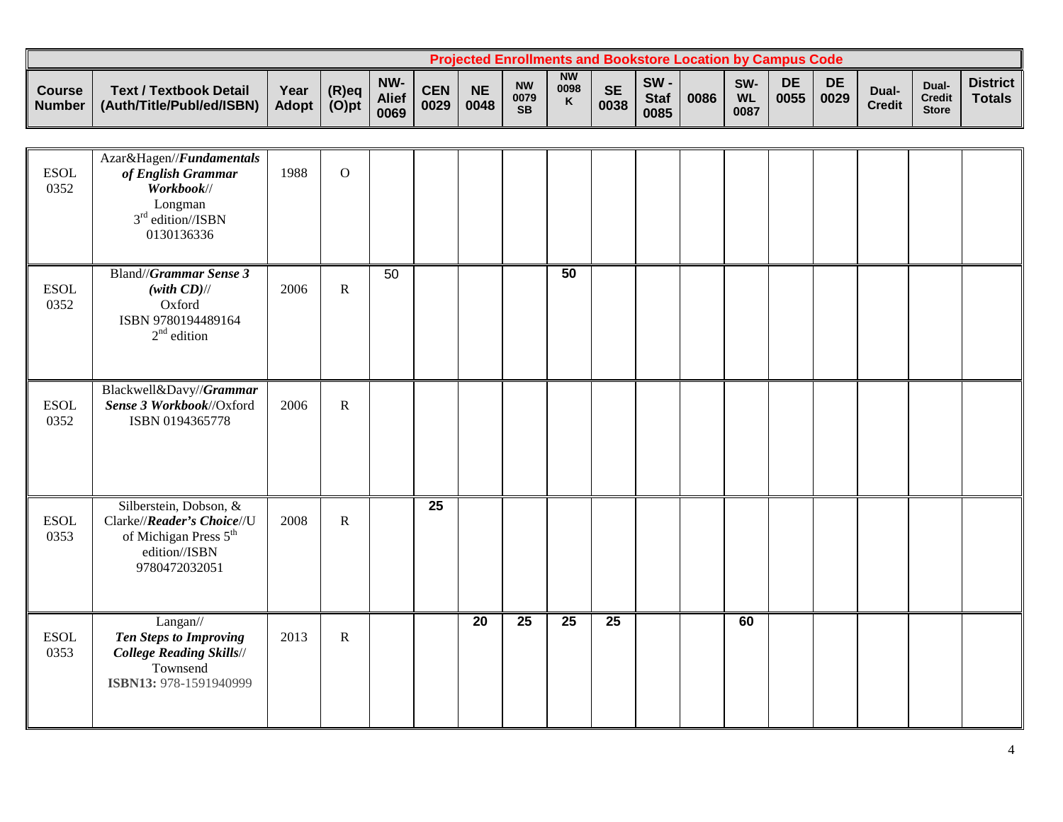|                         |                                                            |                      |                   |                             |                    |                   | Proiected Enrollments and Bookstore Location by Campus Code。 |                        |                   |                            |      |                          |            |                   |                        |                                        |                                  |
|-------------------------|------------------------------------------------------------|----------------------|-------------------|-----------------------------|--------------------|-------------------|--------------------------------------------------------------|------------------------|-------------------|----------------------------|------|--------------------------|------------|-------------------|------------------------|----------------------------------------|----------------------------------|
| <b>Course</b><br>Number | <b>Text / Textbook Detail</b><br>(Auth/Title/Publ/ed/ISBN) | Year<br><b>Adopt</b> | (R)eq<br>$(O)$ pt | NW-<br><b>Alief</b><br>0069 | <b>CEN</b><br>0029 | <b>NE</b><br>0048 | <b>NW</b><br>0079<br><b>SB</b>                               | <b>NW</b><br>0098<br>K | <b>SE</b><br>0038 | SW-<br><b>Staf</b><br>0085 | 0086 | SW-<br><b>WL</b><br>0087 | DE<br>0055 | <b>DE</b><br>0029 | Dual-<br><b>Credit</b> | Dual-<br><b>Credit</b><br><b>Store</b> | <b>District</b><br><b>Totals</b> |

| <b>ESOL</b><br>0352 | Azar&Hagen//Fundamentals<br>of English Grammar<br>Workbook//<br>Longman<br>$3rd$ edition//ISBN<br>0130136336                | 1988 | $\overline{O}$ |    |                 |                 |                 |                 |                 |  |    |  |  |  |
|---------------------|-----------------------------------------------------------------------------------------------------------------------------|------|----------------|----|-----------------|-----------------|-----------------|-----------------|-----------------|--|----|--|--|--|
| <b>ESOL</b><br>0352 | Bland//Grammar Sense 3<br>$(with CD)$ //<br>Oxford<br>ISBN 9780194489164<br>$2nd$ edition                                   | 2006 | ${\bf R}$      | 50 |                 |                 |                 | 50              |                 |  |    |  |  |  |
| <b>ESOL</b><br>0352 | Blackwell&Davy//Grammar<br>Sense 3 Workbook//Oxford<br>ISBN 0194365778                                                      | 2006 | ${\bf R}$      |    |                 |                 |                 |                 |                 |  |    |  |  |  |
| <b>ESOL</b><br>0353 | Silberstein, Dobson, &<br>Clarke//Reader's Choice//U<br>of Michigan Press 5 <sup>th</sup><br>edition//ISBN<br>9780472032051 | 2008 | ${\bf R}$      |    | $\overline{25}$ |                 |                 |                 |                 |  |    |  |  |  |
| <b>ESOL</b><br>0353 | Langan//<br><b>Ten Steps to Improving</b><br><b>College Reading Skills//</b><br>Townsend<br>ISBN13: 978-1591940999          | 2013 | ${\bf R}$      |    |                 | $\overline{20}$ | $\overline{25}$ | $\overline{25}$ | $\overline{25}$ |  | 60 |  |  |  |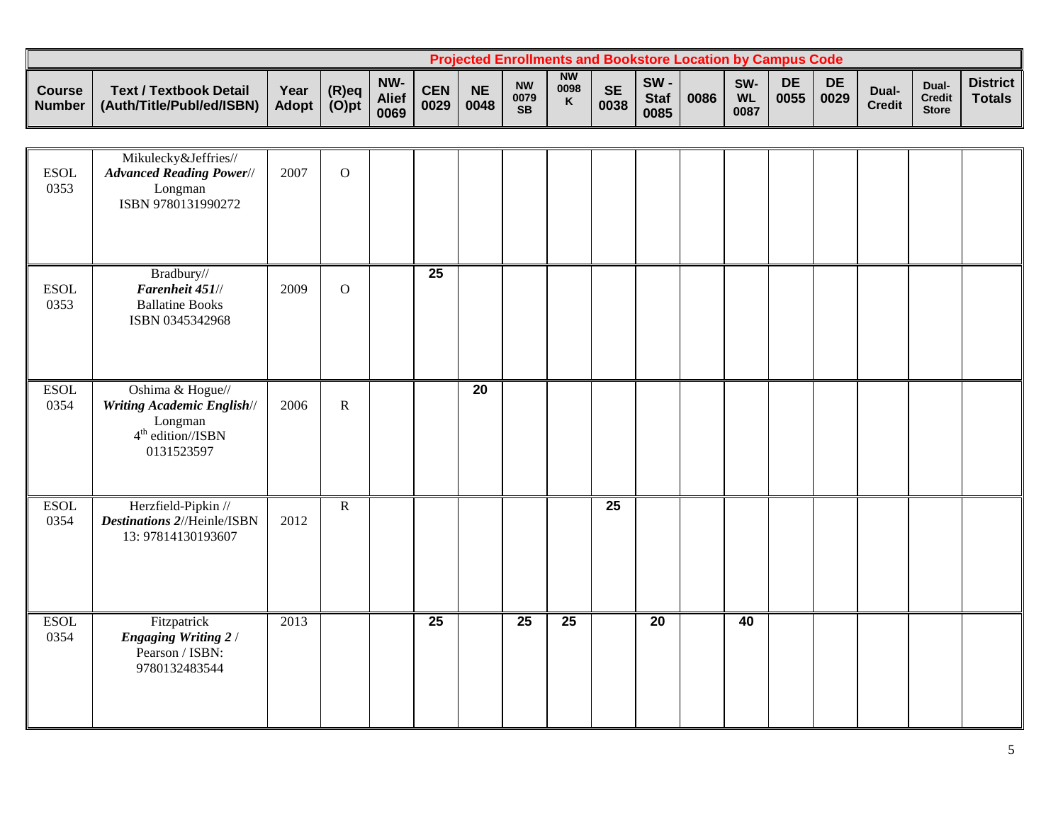|                                      |                                                            |                      |                      |                             |                    |                   | <b>Projected Enrollments and Bookstore Location by Campus Code</b> |                        |                   |                            |      |                          |            |            |                        |                                        |                                  |
|--------------------------------------|------------------------------------------------------------|----------------------|----------------------|-----------------------------|--------------------|-------------------|--------------------------------------------------------------------|------------------------|-------------------|----------------------------|------|--------------------------|------------|------------|------------------------|----------------------------------------|----------------------------------|
| <b>Course</b><br>Number <sup>1</sup> | <b>Text / Textbook Detail</b><br>(Auth/Title/Publ/ed/ISBN) | Year<br><b>Adopt</b> | $(R)$ eq<br>$(O)$ pt | NW-<br><b>Alief</b><br>0069 | <b>CEN</b><br>0029 | <b>NE</b><br>0048 | <b>NW</b><br>0079<br><b>SB</b>                                     | <b>NW</b><br>0098<br>K | <b>SE</b><br>0038 | SW-<br><b>Staf</b><br>0085 | 0086 | SW-<br><b>WL</b><br>0087 | DE<br>0055 | DE<br>0029 | Dual-<br><b>Credit</b> | Dual-<br><b>Credit</b><br><b>Store</b> | <b>District</b><br><b>Totals</b> |

| <b>ESOL</b><br>0353 | Mikulecky&Jeffries//<br><b>Advanced Reading Power//</b><br>Longman<br>ISBN 9780131990272              | 2007 | $\mathbf{O}$   |                 |                 |                 |                 |                 |                 |    |  |  |  |
|---------------------|-------------------------------------------------------------------------------------------------------|------|----------------|-----------------|-----------------|-----------------|-----------------|-----------------|-----------------|----|--|--|--|
| <b>ESOL</b><br>0353 | Bradbury//<br>Farenheit 451//<br><b>Ballatine Books</b><br>ISBN 0345342968                            | 2009 | $\mathbf{O}$   | $\overline{25}$ |                 |                 |                 |                 |                 |    |  |  |  |
| <b>ESOL</b><br>0354 | Oshima & Hogue//<br><b>Writing Academic English//</b><br>Longman<br>$4th$ edition//ISBN<br>0131523597 | 2006 | $\mathbf R$    |                 | $\overline{20}$ |                 |                 |                 |                 |    |  |  |  |
| <b>ESOL</b><br>0354 | Herzfield-Pipkin //<br><b>Destinations 2//Heinle/ISBN</b><br>13: 97814130193607                       | 2012 | $\overline{R}$ |                 |                 |                 |                 | $\overline{25}$ |                 |    |  |  |  |
| <b>ESOL</b><br>0354 | Fitzpatrick<br><b>Engaging Writing 2/</b><br>Pearson / ISBN:<br>9780132483544                         | 2013 |                | $\overline{25}$ |                 | $\overline{25}$ | $\overline{25}$ |                 | $\overline{20}$ | 40 |  |  |  |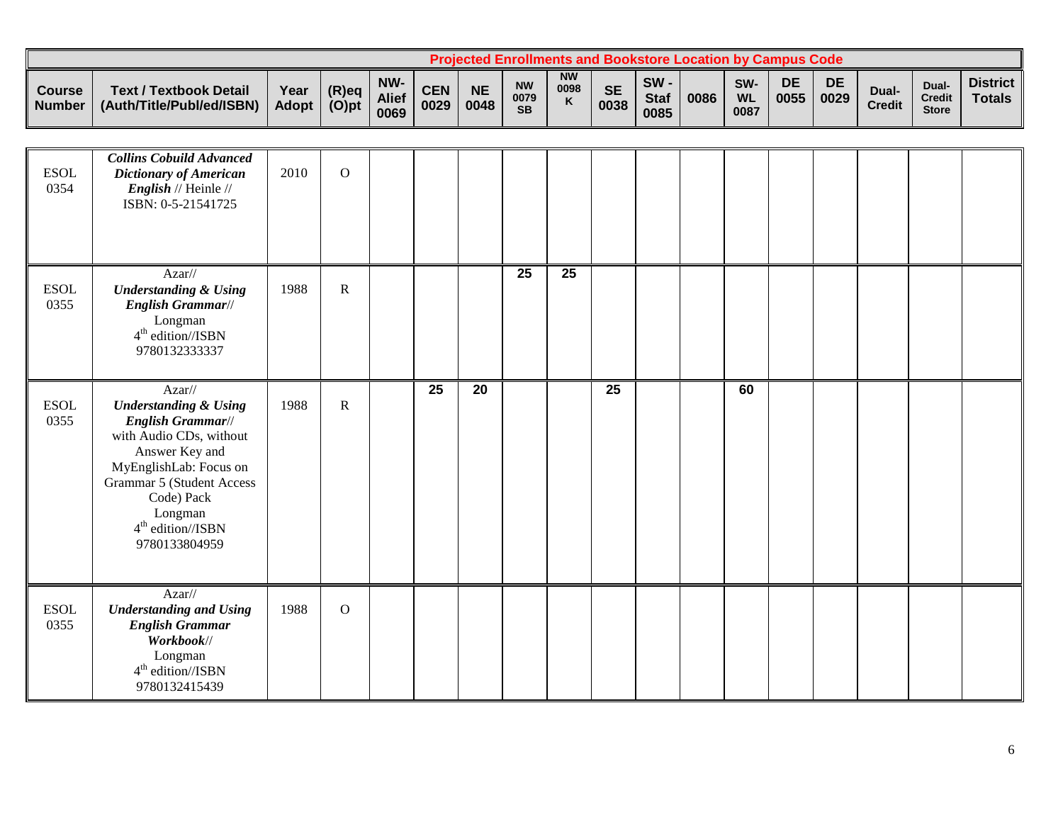|                                |                                                            |               |                      |                             |                    |                   |                                | <b>Projected Enrollments and Bookstore Location by Campus Code</b> |                   |                               |      |                          |            |            |                        |                                |                                  |
|--------------------------------|------------------------------------------------------------|---------------|----------------------|-----------------------------|--------------------|-------------------|--------------------------------|--------------------------------------------------------------------|-------------------|-------------------------------|------|--------------------------|------------|------------|------------------------|--------------------------------|----------------------------------|
| <b>Course</b><br><b>Number</b> | <b>Text / Textbook Detail</b><br>(Auth/Title/Publ/ed/ISBN) | Year<br>Adopt | $(R)$ eq<br>$(O)$ pt | NW-<br><b>Alief</b><br>0069 | <b>CEN</b><br>0029 | <b>NE</b><br>0048 | <b>NW</b><br>0079<br><b>SB</b> | <b>NW</b><br>0098<br>$\mathbf{v}$                                  | <b>SE</b><br>0038 | $SW -$<br><b>Staf</b><br>0085 | 0086 | SW-<br><b>WL</b><br>0087 | DE<br>0055 | DE<br>0029 | Dual-<br><b>Credit</b> | Dual<br>Credit<br><b>Store</b> | <b>District</b><br><b>Totals</b> |

| <b>ESOL</b><br>0354 | <b>Collins Cobuild Advanced</b><br>Dictionary of American<br><i>English</i> // Heinle //<br>ISBN: 0-5-21541725                                                                                                                              | 2010 | $\mathbf{O}$ |    |    |                 |                 |                 |  |    |  |  |  |
|---------------------|---------------------------------------------------------------------------------------------------------------------------------------------------------------------------------------------------------------------------------------------|------|--------------|----|----|-----------------|-----------------|-----------------|--|----|--|--|--|
| <b>ESOL</b><br>0355 | $Azar$ //<br><b>Understanding &amp; Using</b><br>English Grammar//<br>Longman<br>$4th$ edition//ISBN<br>9780132333337                                                                                                                       | 1988 | $\mathbf R$  |    |    | $\overline{25}$ | $\overline{25}$ |                 |  |    |  |  |  |
| <b>ESOL</b><br>0355 | Azar//<br><b>Understanding &amp; Using</b><br>English Grammar//<br>with Audio CDs, without<br>Answer Key and<br>MyEnglishLab: Focus on<br><b>Grammar 5 (Student Access</b><br>Code) Pack<br>Longman<br>$4th$ edition//ISBN<br>9780133804959 | 1988 | $\mathbf R$  | 25 | 20 |                 |                 | $\overline{25}$ |  | 60 |  |  |  |
| <b>ESOL</b><br>0355 | $Azar$ //<br><b>Understanding and Using</b><br><b>English Grammar</b><br>Workbook//<br>Longman<br>$4th$ edition//ISBN<br>9780132415439                                                                                                      | 1988 | $\mathbf{O}$ |    |    |                 |                 |                 |  |    |  |  |  |